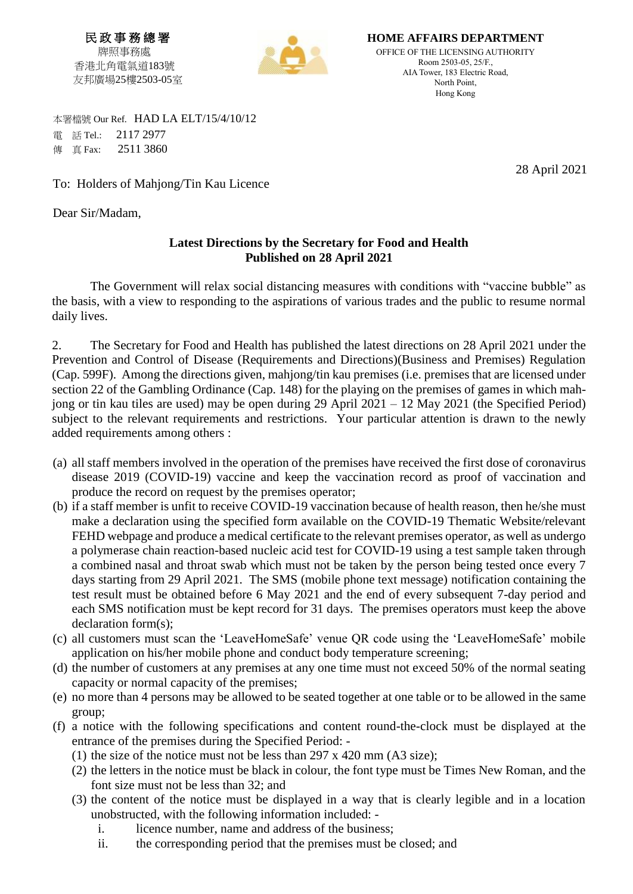民 政 事 務 總 署 牌照事務處 香港北角電氣道183號 友邦廣場25樓2503-05室



**HOME AFFAIRS DEPARTMENT** OFFICE OF THE LICENSING AUTHORITY Room 2503-05, 25/F., AIA Tower, 183 Electric Road, North Point, Hong Kong

 本署檔號 Our Ref. HAD LA ELT/15/4/10/12 電 話 Tel.: 2117 2977 **傳 直 Fax: 2511 3860** 

To: Holders of Mahjong/Tin Kau Licence

Dear Sir/Madam,

## **Latest Directions by the Secretary for Food and Health Published on 28 April 2021**

The Government will relax social distancing measures with conditions with "vaccine bubble" as the basis, with a view to responding to the aspirations of various trades and the public to resume normal daily lives.

2. The Secretary for Food and Health has published the latest directions on 28 April 2021 under the Prevention and Control of Disease (Requirements and Directions)(Business and Premises) Regulation (Cap. 599F). Among the directions given, mahjong/tin kau premises (i.e. premises that are licensed under section 22 of the Gambling Ordinance (Cap. 148) for the playing on the premises of games in which mahjong or tin kau tiles are used) may be open during 29 April 2021 – 12 May 2021 (the Specified Period) subject to the relevant requirements and restrictions. Your particular attention is drawn to the newly added requirements among others :

- (a) all staff members involved in the operation of the premises have received the first dose of coronavirus disease 2019 (COVID-19) vaccine and keep the vaccination record as proof of vaccination and produce the record on request by the premises operator;
- (b) if a staff member is unfit to receive COVID-19 vaccination because of health reason, then he/she must make a declaration using the specified form available on the COVID-19 Thematic Website/relevant FEHD webpage and produce a medical certificate to the relevant premises operator, as well as undergo a polymerase chain reaction-based nucleic acid test for COVID-19 using a test sample taken through a combined nasal and throat swab which must not be taken by the person being tested once every 7 days starting from 29 April 2021. The SMS (mobile phone text message) notification containing the test result must be obtained before 6 May 2021 and the end of every subsequent 7-day period and each SMS notification must be kept record for 31 days. The premises operators must keep the above declaration form(s);
- (c) all customers must scan the 'LeaveHomeSafe' venue QR code using the 'LeaveHomeSafe' mobile application on his/her mobile phone and conduct body temperature screening;
- (d) the number of customers at any premises at any one time must not exceed 50% of the normal seating capacity or normal capacity of the premises;
- (e) no more than 4 persons may be allowed to be seated together at one table or to be allowed in the same group;
- (f) a notice with the following specifications and content round-the-clock must be displayed at the entrance of the premises during the Specified Period: -
	- (1) the size of the notice must not be less than  $297 \times 420$  mm (A3 size);
	- (2) the letters in the notice must be black in colour, the font type must be Times New Roman, and the font size must not be less than 32; and
	- (3) the content of the notice must be displayed in a way that is clearly legible and in a location unobstructed, with the following information included:
		- i. licence number, name and address of the business;
		- ii. the corresponding period that the premises must be closed; and

28 April 2021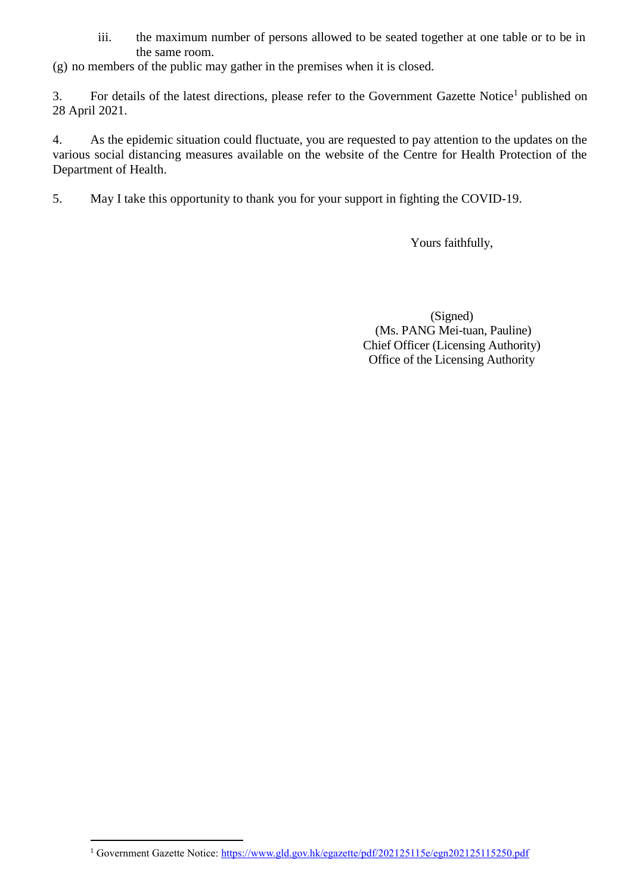iii. the maximum number of persons allowed to be seated together at one table or to be in the same room.

(g) no members of the public may gather in the premises when it is closed.

3. For details of the latest directions, please refer to the Government Gazette Notice<sup>1</sup> published on 28 April 2021.

4. As the epidemic situation could fluctuate, you are requested to pay attention to the updates on the various social distancing measures available on the website of the Centre for Health Protection of the Department of Health.

5. May I take this opportunity to thank you for your support in fighting the COVID-19.

Yours faithfully,

(Signed) (Ms. PANG Mei-tuan, Pauline) Chief Officer (Licensing Authority) Office of the Licensing Authority

 $\overline{a}$ 

<sup>&</sup>lt;sup>1</sup> Government Gazette Notice: https://www.gld.gov.hk/egazette/pdf/202125115e/egn202125115250.pdf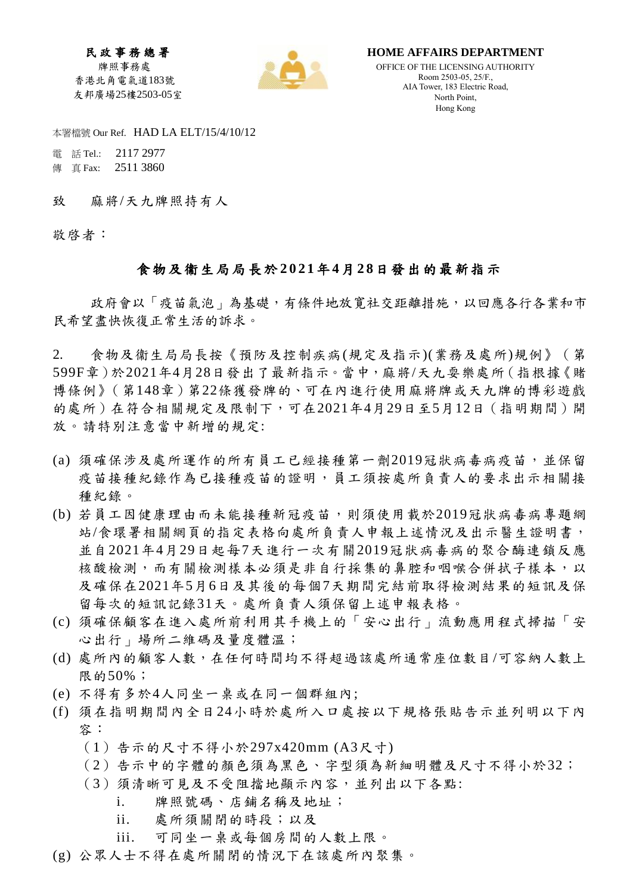民 政 事 務 總 署 牌照事務處 香港北角電氣道183號 友邦廣場25樓2503-05室



**HOME AFFAIRS DEPARTMENT**

OFFICE OF THE LICENSING AUTHORITY Room 2503-05, 25/F., AIA Tower, 183 Electric Road, North Point, Hong Kong

本署檔號 Our Ref. HAD LA ELT/15/4/10/12

 電 話 Tel.: 2117 2977 傳 真 Fax: 2511 3860

致 麻將/天九牌照持有人

敬啓者:

## 食物及衞生局局長於 **202 1**年**4**月**2 8**日發出的最新指示

政府會以「疫苗氣泡」為基礎,有條件地放寬社交距離措施,以回應各行各業和市 民希望盡快恢復正常生活的訴求。

2. 食物及衞生局局長按《預防及控制疾病(規定及指示)(業務及處所)規例》(第 599F章)於2021年4月28日發出了最新指示。當中,麻將/天九耍樂處所(指根據《賭 博條例》(第148章)第22條獲發牌的、可在內進行使用麻將牌或天九牌的博彩遊戲 的處所)在符合相關規定及限制下,可在2021年4月29日至5月12日(指明期間)開 放。請特別注意當中新增的規定:

- (a) 須確保涉及處所運作的所有員工已經接種第一劑2019冠狀病毒病疫苗,並保留 疫苗接種紀錄作為已接種疫苗的證明,員工須按處所負責人的要求出示相關接 種紀錄。
- (b) 若員工因健康理由而未能接種新冠疫苗,則須使用載於2019冠狀病毒病專題網 站/食環署相關網頁的指定表格向處所負責人申報上述情況及出示醫生證明書, 並自2021年4月29日起每7天進行一次有關2019冠狀病毒病的聚合酶連鎖反應 核酸檢測,而有關檢測樣本必須是非自行採集的鼻腔和咽喉合併拭子樣本,以 及確保在2021年5月6日及其後的每個7天期間完結前取得檢測結果的短訊及保 留每次的短訊記錄31天。處所負責人須保留上述申報表格。
- (c) 須確保顧客在進入處所前利用其手機上的「安心出行」流動應用程式掃描「安 心出行 | 場所二維碼及量度體溫;
- (d) 處所內的顧客人數,在任何時間均不得超過該處所通常座位數目/可容納人數上 限的50%;
- (e) 不得有多於4人同坐一桌或在同一個群組內;
- (f) 須在指明期間內全日24小時於處所入口處按以下規格張貼告示並列明以下內 容:
	- (1)告示的尺寸不得小於297x420mm (A3尺寸)
	- (2)告示中的字體的顏色須為黑色、字型須為新細明體及尺寸不得小於32;
	- (3)須清晰可見及不受阻擋地顯示內容,並列出以下各點:
		- i. 牌照號碼、店鋪名稱及地址;
		- ii. 處所須關閉的時段;以及
		- iii. 可同坐一桌或每個房間的人數上限。
- (g) 公眾人士不得在處所關閉的情況下在該處所內聚集。